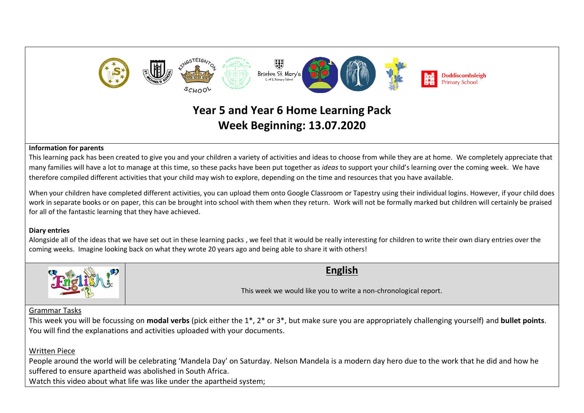

# **Year 5 and Year 6 Home Learning Pack Week Beginning: 13.07.2020**

#### **Information for parents**

This learning pack has been created to give you and your children a variety of activities and ideas to choose from while they are at home. We completely appreciate that many families will have a lot to manage at this time, so these packs have been put together as *ideas* to support your child's learning over the coming week. We have therefore compiled different activities that your child may wish to explore, depending on the time and resources that you have available.

When your children have completed different activities, you can upload them onto Google Classroom or Tapestry using their individual logins. However, if your child does work in separate books or on paper, this can be brought into school with them when they return. Work will not be formally marked but children will certainly be praised for all of the fantastic learning that they have achieved.

### **Diary entries**

Alongside all of the ideas that we have set out in these learning packs , we feel that it would be really interesting for children to write their own diary entries over the coming weeks. Imagine looking back on what they wrote 20 years ago and being able to share it with others!



# **English**

This week we would like you to write a non-chronological report.

## Grammar Tasks

This week you will be focussing on **modal verbs** (pick either the 1\*, 2\* or 3\*, but make sure you are appropriately challenging yourself) and **bullet points**. You will find the explanations and activities uploaded with your documents.

# Written Piece

People around the world will be celebrating 'Mandela Day' on Saturday. Nelson Mandela is a modern day hero due to the work that he did and how he suffered to ensure apartheid was abolished in South Africa.

Watch this video about what life was like under the apartheid system: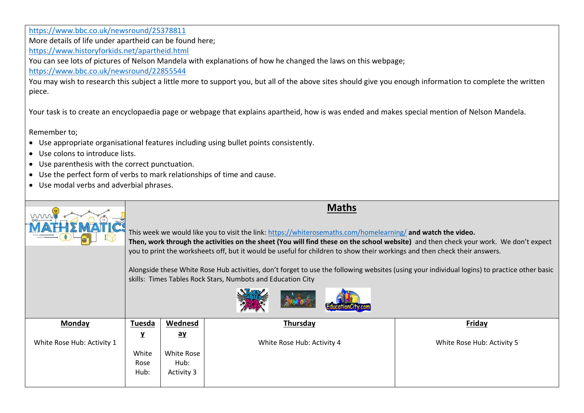<https://www.bbc.co.uk/newsround/25378811> More details of life under apartheid can be found here; <https://www.historyforkids.net/apartheid.html> You can see lots of pictures of Nelson Mandela with explanations of how he changed the laws on this webpage; <https://www.bbc.co.uk/newsround/22855544> You may wish to research this subject a little more to support you, but all of the above sites should give you enough information to complete the written piece.

Your task is to create an encyclopaedia page or webpage that explains apartheid, how is was ended and makes special mention of Nelson Mandela.

Remember to;

- Use appropriate organisational features including using bullet points consistently.
- Use colons to introduce lists.
- Use parenthesis with the correct punctuation.
- Use the perfect form of verbs to mark relationships of time and cause.
- Use modal verbs and adverbial phrases.

| mm                         | <b>Maths</b><br>This week we would like you to visit the link: https://whiterosemaths.com/homelearning/ and watch the video.<br>Then, work through the activities on the sheet (You will find these on the school website) and then check your work. We don't expect<br>you to print the worksheets off, but it would be useful for children to show their workings and then check their answers.<br>Alongside these White Rose Hub activities, don't forget to use the following websites (using your individual logins) to practice other basic<br>skills: Times Tables Rock Stars, Numbots and Education City |                                                            |                            |                            |
|----------------------------|------------------------------------------------------------------------------------------------------------------------------------------------------------------------------------------------------------------------------------------------------------------------------------------------------------------------------------------------------------------------------------------------------------------------------------------------------------------------------------------------------------------------------------------------------------------------------------------------------------------|------------------------------------------------------------|----------------------------|----------------------------|
|                            |                                                                                                                                                                                                                                                                                                                                                                                                                                                                                                                                                                                                                  |                                                            |                            |                            |
| Monday                     | Tuesda                                                                                                                                                                                                                                                                                                                                                                                                                                                                                                                                                                                                           | Wednesd                                                    | Thursday                   | Friday                     |
| White Rose Hub: Activity 1 | $\mathbf{Y}$<br>White<br>Rose<br>Hub:                                                                                                                                                                                                                                                                                                                                                                                                                                                                                                                                                                            | $\mathbf{a}\mathbf{y}$<br>White Rose<br>Hub:<br>Activity 3 | White Rose Hub: Activity 4 | White Rose Hub: Activity 5 |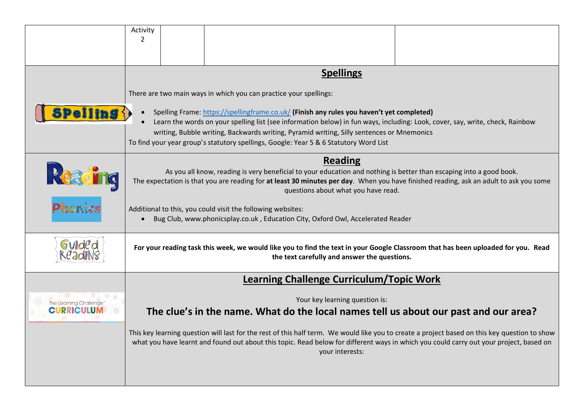|                        | Activity                                                                                                                                                                                                                                                                                |  |                                                                                                                                                                                                                            |  |  |
|------------------------|-----------------------------------------------------------------------------------------------------------------------------------------------------------------------------------------------------------------------------------------------------------------------------------------|--|----------------------------------------------------------------------------------------------------------------------------------------------------------------------------------------------------------------------------|--|--|
|                        | 2                                                                                                                                                                                                                                                                                       |  |                                                                                                                                                                                                                            |  |  |
|                        |                                                                                                                                                                                                                                                                                         |  |                                                                                                                                                                                                                            |  |  |
|                        |                                                                                                                                                                                                                                                                                         |  | <b>Spellings</b>                                                                                                                                                                                                           |  |  |
|                        |                                                                                                                                                                                                                                                                                         |  | There are two main ways in which you can practice your spellings:                                                                                                                                                          |  |  |
|                        |                                                                                                                                                                                                                                                                                         |  |                                                                                                                                                                                                                            |  |  |
| Pelling                | $\bullet$                                                                                                                                                                                                                                                                               |  | Spelling Frame: https://spellingframe.co.uk/ (Finish any rules you haven't yet completed)<br>Learn the words on your spelling list (see information below) in fun ways, including: Look, cover, say, write, check, Rainbow |  |  |
|                        |                                                                                                                                                                                                                                                                                         |  | writing, Bubble writing, Backwards writing, Pyramid writing, Silly sentences or Mnemonics                                                                                                                                  |  |  |
|                        |                                                                                                                                                                                                                                                                                         |  | To find your year group's statutory spellings, Google: Year 5 & 6 Statutory Word List                                                                                                                                      |  |  |
|                        | <b>Reading</b>                                                                                                                                                                                                                                                                          |  |                                                                                                                                                                                                                            |  |  |
| Pe                     |                                                                                                                                                                                                                                                                                         |  | As you all know, reading is very beneficial to your education and nothing is better than escaping into a good book.                                                                                                        |  |  |
|                        | The expectation is that you are reading for at least 30 minutes per day. When you have finished reading, ask an adult to ask you some<br>questions about what you have read.                                                                                                            |  |                                                                                                                                                                                                                            |  |  |
| Phonics                |                                                                                                                                                                                                                                                                                         |  | Additional to this, you could visit the following websites:                                                                                                                                                                |  |  |
|                        | Bug Club, www.phonicsplay.co.uk, Education City, Oxford Owl, Accelerated Reader<br>$\bullet$                                                                                                                                                                                            |  |                                                                                                                                                                                                                            |  |  |
|                        |                                                                                                                                                                                                                                                                                         |  |                                                                                                                                                                                                                            |  |  |
|                        | For your reading task this week, we would like you to find the text in your Google Classroom that has been uploaded for you. Read                                                                                                                                                       |  |                                                                                                                                                                                                                            |  |  |
|                        | the text carefully and answer the questions.                                                                                                                                                                                                                                            |  |                                                                                                                                                                                                                            |  |  |
|                        | <b>Learning Challenge Curriculum/Topic Work</b>                                                                                                                                                                                                                                         |  |                                                                                                                                                                                                                            |  |  |
| The Learning Challenge | Your key learning question is:                                                                                                                                                                                                                                                          |  |                                                                                                                                                                                                                            |  |  |
| <b>CURRICULUN</b>      | The clue's in the name. What do the local names tell us about our past and our area?                                                                                                                                                                                                    |  |                                                                                                                                                                                                                            |  |  |
|                        |                                                                                                                                                                                                                                                                                         |  |                                                                                                                                                                                                                            |  |  |
|                        | This key learning question will last for the rest of this half term. We would like you to create a project based on this key question to show<br>what you have learnt and found out about this topic. Read below for different ways in which you could carry out your project, based on |  |                                                                                                                                                                                                                            |  |  |
|                        | your interests:                                                                                                                                                                                                                                                                         |  |                                                                                                                                                                                                                            |  |  |
|                        |                                                                                                                                                                                                                                                                                         |  |                                                                                                                                                                                                                            |  |  |
|                        |                                                                                                                                                                                                                                                                                         |  |                                                                                                                                                                                                                            |  |  |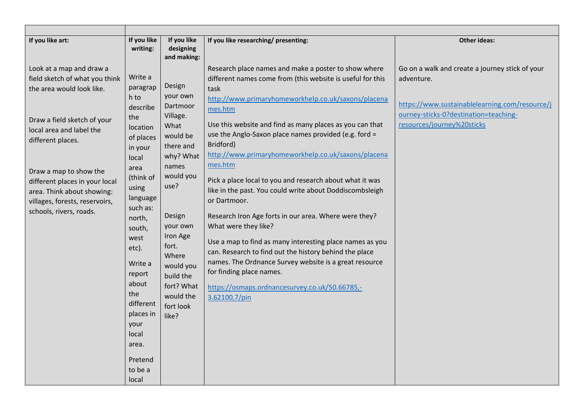| If you like art:<br>If you like                                                                                                                                                                                                                                                                                                                                                                                                                                                                                                                                                                                                                  | If you like                                                                                                                                                                                                                                           |                                                                                                                                                                                                                                                                                                                                                                                                                                                                                                                                                                                                                                                                                                                                                                                                                                                                                                          |                                                                                                                                                                                        |
|--------------------------------------------------------------------------------------------------------------------------------------------------------------------------------------------------------------------------------------------------------------------------------------------------------------------------------------------------------------------------------------------------------------------------------------------------------------------------------------------------------------------------------------------------------------------------------------------------------------------------------------------------|-------------------------------------------------------------------------------------------------------------------------------------------------------------------------------------------------------------------------------------------------------|----------------------------------------------------------------------------------------------------------------------------------------------------------------------------------------------------------------------------------------------------------------------------------------------------------------------------------------------------------------------------------------------------------------------------------------------------------------------------------------------------------------------------------------------------------------------------------------------------------------------------------------------------------------------------------------------------------------------------------------------------------------------------------------------------------------------------------------------------------------------------------------------------------|----------------------------------------------------------------------------------------------------------------------------------------------------------------------------------------|
| writing:                                                                                                                                                                                                                                                                                                                                                                                                                                                                                                                                                                                                                                         | designing<br>and making:                                                                                                                                                                                                                              | If you like researching/ presenting:                                                                                                                                                                                                                                                                                                                                                                                                                                                                                                                                                                                                                                                                                                                                                                                                                                                                     | <b>Other ideas:</b>                                                                                                                                                                    |
| Look at a map and draw a<br>Write a<br>field sketch of what you think<br>paragrap<br>the area would look like.<br>h to<br>describe<br>the<br>Draw a field sketch of your<br>location<br>local area and label the<br>of places<br>different places.<br>in your<br>local<br>area<br>Draw a map to show the<br>(think of<br>different places in your local<br>using<br>area. Think about showing:<br>language<br>villages, forests, reservoirs,<br>such as:<br>schools, rivers, roads.<br>north,<br>south,<br>west<br>etc).<br>Write a<br>report<br>about<br>the<br>different<br>places in<br>your<br>local<br>area.<br>Pretend<br>to be a<br>local | Design<br>your own<br>Dartmoor<br>Village.<br>What<br>would be<br>there and<br>why? What<br>names<br>would you<br>use?<br>Design<br>your own<br>Iron Age<br>fort.<br>Where<br>would you<br>build the<br>fort? What<br>would the<br>fort look<br>like? | Research place names and make a poster to show where<br>different names come from (this website is useful for this<br>task<br>http://www.primaryhomeworkhelp.co.uk/saxons/placena<br>mes.htm<br>Use this website and find as many places as you can that<br>use the Anglo-Saxon place names provided (e.g. ford =<br>Bridford)<br>http://www.primaryhomeworkhelp.co.uk/saxons/placena<br>mes.htm<br>Pick a place local to you and research about what it was<br>like in the past. You could write about Doddiscombsleigh<br>or Dartmoor.<br>Research Iron Age forts in our area. Where were they?<br>What were they like?<br>Use a map to find as many interesting place names as you<br>can. Research to find out the history behind the place<br>names. The Ordnance Survey website is a great resource<br>for finding place names.<br>https://osmaps.ordnancesurvey.co.uk/50.66785,-<br>3.62100,7/pin | Go on a walk and create a journey stick of your<br>adventure.<br>https://www.sustainablelearning.com/resource/j<br>ourney-sticks-0?destination=teaching-<br>resources/journey%20sticks |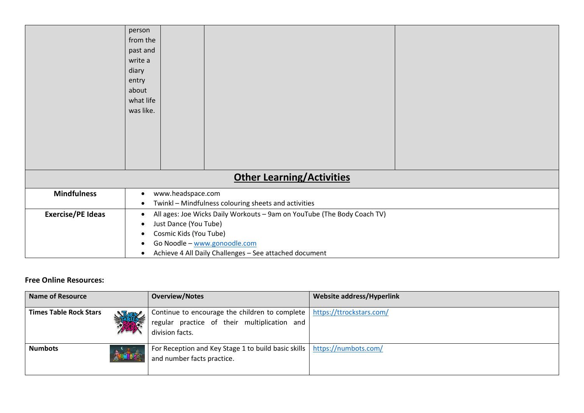|                                  | person<br>from the<br>past and<br>write a<br>diary<br>entry<br>about<br>what life<br>was like.                                                                                                                                                                   |  |  |  |  |
|----------------------------------|------------------------------------------------------------------------------------------------------------------------------------------------------------------------------------------------------------------------------------------------------------------|--|--|--|--|
|                                  |                                                                                                                                                                                                                                                                  |  |  |  |  |
|                                  |                                                                                                                                                                                                                                                                  |  |  |  |  |
| <b>Other Learning/Activities</b> |                                                                                                                                                                                                                                                                  |  |  |  |  |
| <b>Mindfulness</b>               | www.headspace.com<br>$\bullet$<br>Twinkl - Mindfulness colouring sheets and activities<br>$\bullet$                                                                                                                                                              |  |  |  |  |
| <b>Exercise/PE Ideas</b>         | All ages: Joe Wicks Daily Workouts - 9am on YouTube (The Body Coach TV)<br>$\bullet$<br>Just Dance (You Tube)<br>$\bullet$<br>Cosmic Kids (You Tube)<br>٠<br>Go Noodle - www.gonoodle.com<br>$\bullet$<br>Achieve 4 All Daily Challenges - See attached document |  |  |  |  |

## **Free Online Resources:**

| <b>Name of Resource</b>       |    | <b>Overview/Notes</b>                                                                                                                        | <b>Website address/Hyperlink</b> |
|-------------------------------|----|----------------------------------------------------------------------------------------------------------------------------------------------|----------------------------------|
| <b>Times Table Rock Stars</b> | 19 | Continue to encourage the children to complete   https://ttrockstars.com/<br>regular practice of their multiplication and<br>division facts. |                                  |
| <b>Numbots</b>                |    | For Reception and Key Stage 1 to build basic skills   https://numbots.com/<br>and number facts practice.                                     |                                  |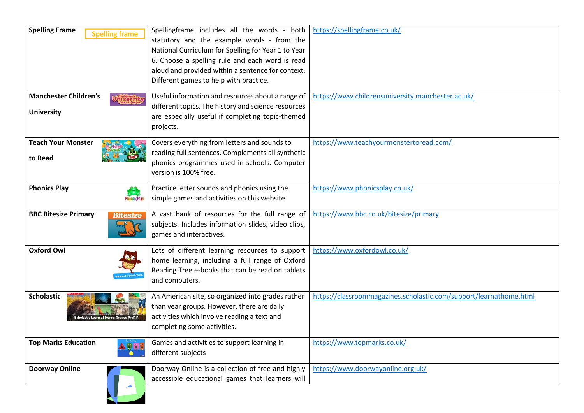| <b>Spelling Frame</b><br><b>Spelling frame</b>         | Spellingframe includes all the words - both<br>statutory and the example words - from the<br>National Curriculum for Spelling for Year 1 to Year<br>6. Choose a spelling rule and each word is read<br>aloud and provided within a sentence for context.<br>Different games to help with practice. | https://spellingframe.co.uk/                                       |
|--------------------------------------------------------|----------------------------------------------------------------------------------------------------------------------------------------------------------------------------------------------------------------------------------------------------------------------------------------------------|--------------------------------------------------------------------|
| <b>Manchester Children's</b><br><b>University</b>      | Useful information and resources about a range of<br>different topics. The history and science resources<br>are especially useful if completing topic-themed<br>projects.                                                                                                                          | https://www.childrensuniversity.manchester.ac.uk/                  |
| <b>Teach Your Monster</b><br>to Read                   | Covers everything from letters and sounds to<br>reading full sentences. Complements all synthetic<br>phonics programmes used in schools. Computer<br>version is 100% free.                                                                                                                         | https://www.teachyourmonstertoread.com/                            |
| <b>Phonics Play</b><br><b><i><u>DonicsPlat</u></i></b> | Practice letter sounds and phonics using the<br>simple games and activities on this website.                                                                                                                                                                                                       | https://www.phonicsplay.co.uk/                                     |
| <b>BBC Bitesize Primary</b><br><b>Bitesize</b>         | A vast bank of resources for the full range of<br>subjects. Includes information slides, video clips,<br>games and interactives.                                                                                                                                                                   | https://www.bbc.co.uk/bitesize/primary                             |
| <b>Oxford Owl</b>                                      | Lots of different learning resources to support<br>home learning, including a full range of Oxford<br>Reading Tree e-books that can be read on tablets<br>and computers.                                                                                                                           | https://www.oxfordowl.co.uk/                                       |
| <b>Scholastic</b>                                      | An American site, so organized into grades rather<br>than year groups. However, there are daily<br>activities which involve reading a text and<br>completing some activities.                                                                                                                      | https://classroommagazines.scholastic.com/support/learnathome.html |
| <b>Top Marks Education</b>                             | Games and activities to support learning in<br>different subjects                                                                                                                                                                                                                                  | https://www.topmarks.co.uk/                                        |
| <b>Doorway Online</b>                                  | Doorway Online is a collection of free and highly<br>accessible educational games that learners will                                                                                                                                                                                               | https://www.doorwayonline.org.uk/                                  |